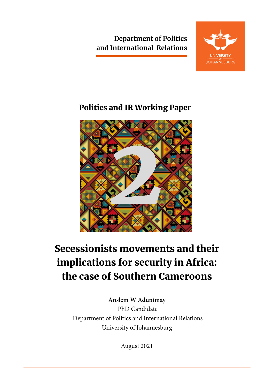**Department of Politics and International Relations**



# Politics and IR Working Paper



# Secessionists movements and their implications for security in Africa: the case of Southern Cameroons

**Anslem W Adunimay** PhD Candidate Department of Politics and International Relations University of Johannesburg

August 2021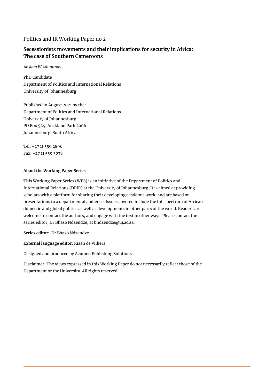#### Politics and IR Working Paper no 2

### **Secessionists movements and their implications for security in Africa: The case of Southern Cameroons**

*Anslem W Adunimay*

PhD Candidate Department of Politics and International Relations University of Johannesburg

Published in August 2021 by the: Department of Politics and International Relations University of Johannesburg PO Box 524, Auckland Park 2006 Johannesburg, South Africa

Tel: +27 11 559 2896 Fax: +27 11 559 3038

#### **About the Working Paper Series**

This Working Paper Series (WPS) is an initiative of the Department of Politics and International Relations (DPIR) at the University of Johannesburg. It is aimed at providing scholars with a platform for sharing their developing academic work, and are based on presentations to a departmental audience. Issues covered include the full spectrum of African domestic and global politics as well as developments in other parts of the world. Readers are welcome to contact the authors, and engage with the text in other ways. Please contact the series editor, Dr Bhaso Ndzendze, at bndzendze@uj.ac.za.

**Series editor:** Dr Bhaso Ndzendze

**External language editor**: Riaan de Villiers

Designed and produced by Acumen Publishing Solutions

Disclaimer: The views expressed in this Working Paper do not necessarily reflect those of the Department or the University. All rights reserved.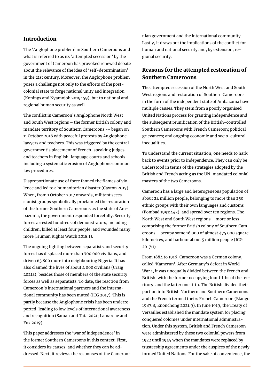#### Introduction

The 'Anglophone problem' in Southern Cameroons and what is referred to as its 'attempted secession' by the government of Cameroon has provoked renewed debate about the relevance of the idea of 'self-determination' in the 21st century. Moreover, the Anglophone problem poses a challenge not only to the efforts of the postcolonial state to forge national unity and integration (Konings and Nyamnjoh 2019: 59), but to national and regional human security as well.

The conflict in Cameroon's Anglophone North West and South West regions – the former British colony and mandate territory of Southern Cameroons -- began on 11 October 2016 with peaceful protests by Anglophone lawyers and teachers. This was triggered by the central government's placement of French-speaking judges and teachers in English-language courts and schools, including a systematic erosion of Anglophone common law procedures.

Disproportionate use of force fanned the flames of violence and led to a humanitarian disaster (Caxton 2017). When, from 1 October 2017 onwards, militant secessionist groups symbolically proclaimed the restoration of the former Southern Cameroons as the state of Ambazonia, the government responded forcefully. Security forces arrested hundreds of demonstrators, including children, killed at least four people, and wounded many more (Human Rights Watch 2018:1).

The ongoing fighting between separatists and security forces has displaced more than 700 000 civilians, and driven 63 800 more into neighbouring Nigeria. It has also claimed the lives of about  $\Delta$  000 civilians (Craig 2021a), besides those of members of the state security forces as well as separatists. To date, the reaction from Cameroon's international partners and the international community has been muted (ICG 2017). This is partly because the Anglophone crisis has been underreported, leading to low levels of international awareness and recognition (Samah and Tata 2021; Lamarche and Fox 2019).

This paper addresses the 'war of independence' in the former Southern Cameroons in this context. First, it considers its causes, and whether they can be addressed. Next, it reviews the responses of the Cameroo-

nian government and the international community. Lastly, it draws out the implications of the conflict for human and national security and, by extension, regional security.

## Reasons for the attempted restoration of Southern Cameroons

The attempted secession of the North West and South West regions and restoration of Southern Cameroons in the form of the independent state of Ambazonia have multiple causes. They stem from a poorly organised United Nations process for granting independence and the subsequent reunification of the British-controlled Southern Cameroons with French Cameroon; political grievances; and ongoing economic and socio-cultural inequalities.

To understand the current situation, one needs to hark back to events prior to independence. They can only be understood in terms of the strategies adopted by the British and French acting as the UN-mandated colonial masters of the two Cameroons.

Cameroon has a large and heterogeneous population of about 24 million people, belonging to more than 250 ethnic groups with their own languages and customs (Fombad 1991:443), and spread over ten regions. The North West and South West regions – more or less comprising the former British colony of Southern Cameroons – occupy some 16 000 of almost  $\mu$ 75 000 square kilometres, and harbour about 5 million people (ICG 2017:1)

From 1884 to 1916, Cameroon was a German colony, called 'Kamerun'. After Germany's defeat in World War 1, it was unequally divided between the French and British, with the former occupying four fifths of the territory, and the latter one fifth. The British divided their portion into British Northern and Southern Cameroons, and the French termed theirs French Cameroon (Elango 1987:8; Enonchong 2021:9). In June 1919, the Treaty of Versailles established the mandate system for placing conquered colonies under international administration. Under this system, British and French Cameroon were administered by these two colonial powers from 1922 until 1945 when the mandates were replaced by trusteeship agreements under the auspices of the newly formed United Nations. For the sake of convenience, the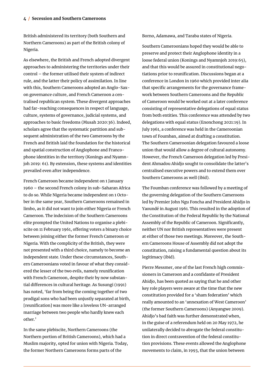British administered its territory (both Southern and Northern Cameroons) as part of the British colony of Nigeria.

As elsewhere, the British and French adopted divergent approaches to administering the territories under their control – the former utilised their system of indirect rule, and the latter their policy of assimilation. In line with this, Southern Cameroons adopted an Anglo-Saxon governance culture, and French Cameroon a centralised republican system. These divergent approaches had far-reaching consequences in respect of language, culture, systems of governance, judicial systems, and approaches to basic freedoms (Musah 2020:36). Indeed, scholars agree that the systematic partition and subsequent administration of the two Cameroons by the French and British laid the foundation for the historical and spatial construction of Anglophone and Francophone identities in the territory (Konings and Nyamnjoh 2019: 61). By extension, these systems and identities prevailed even after independence.

French Cameroon became independent on 1 January 1960 – the second French colony in sub-Saharan Africa to do so. While Nigeria became independent on 1 October in the same year, Southern Cameroons remained in limbo, as it did not want to join either Nigeria or French Cameroon. The indecision of the Southern Cameroons elite prompted the United Nations to organise a plebiscite on 11 February 1961, offering voters a binary choice between joining either the former French Cameroon or Nigeria. With the complicity of the British, they were not presented with a third choice, namely to become an independent state. Under these circumstances, Southern Cameroonians voted in favour of what they considered the lesser of the two evils, namely reunification with French Cameroon, despite their by now substantial differences in cultural heritage. As Susungi (1991) has noted, 'far from being the coming together of two prodigal sons who had been unjustly separated at birth, [reunification] was more like a loveless UN-arranged marriage between two people who hardly knew each other.'

In the same plebiscite, Northern Cameroons (the Northern portion of British Cameroons), which had a Muslim majority, opted for union with Nigeria. Today, the former Northern Cameroons forms parts of the

Borno, Adamawa, and Taraba states of Nigeria.

Southern Cameroonians hoped they would be able to preserve and protect their Anglophone identity in a loose federal union (Konings and Nyamnjoh 2019:65), and that this would be assured in constitutional negotiations prior to reunification. Discussions began at a conference in London in 1960 which provided inter alia that specific arrangements for the governance framework between Southern Cameroons and the Republic of Cameroon would be worked out at a later conference consisting of representative delegations of equal status from both entities. This conference was attended by two delegations with equal status (Enonchong 2021:19). In July 1961, a conference was held in the Cameroonian town of Foumban, aimed at drafting a constitution. The Southern Cameroonian delegation favoured a loose union that would allow a degree of cultural autonomy. However, the French Cameroon delegation led by President Ahmadou Ahidjo sought to consolidate the latter's centralised executive powers and to extend them over Southern Cameroons as well (ibid).

The Foumban conference was followed by a meeting of the governing delegation of the Southern Cameroons led by Premier John Ngu Foncha and President Ahidjo in Yaoundé in August 1961. This resulted in the adoption of the Constitution of the Federal Republic by the National Assembly of the Republic of Cameroon. Significantly, neither UN nor British representatives were present at either of those two meetings. Moreover, the Southern Cameroons House of Assembly did not adopt the constitution, raising a fundamental question about its legitimacy (ibid).

Pierre Messmer, one of the last French high commissioners in Cameroon and a confidante of President Ahidjo, has been quoted as saying that he and other key role players were aware at the time that the new constitution provided for a 'sham federation' which really amounted to an 'annexation of West Cameroon' (the former Southern Cameroons) (Anyangwe 2009). Ahidjo's bad faith was further demonstrated when, in the guise of a referendum held on 20 May 1972, he unilaterally decided to abrogate the federal constitution in direct contravention of the federal constitution provisions. These events allowed the Anglophone movements to claim, in 1993, that the union between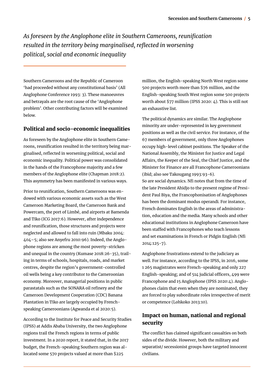*As foreseen by the Anglophone elite in Southern Cameroons, reunification resulted in the territory being marginalised, reflected in worsening political, social and economic inequality*

Southern Cameroons and the Republic of Cameroon 'had proceeded without any constitutional basis' (All Anglophone Conference 1993: 3). These manoeuvres and betrayals are the root cause of the 'Anglophone problem'. Other contributing factors will be examined below.

#### Political and socio-economic inequalities

As foreseen by the Anglophone elite in Southern Cameroons, reunification resulted in the territory being marginalised, reflected in worsening political, social and economic inequality. Political power was consolidated in the hands of the Francophone majority and a few members of the Anglophone elite (Chapman 2018:2). This asymmetry has been manifested in various ways.

Prior to reunification, Southern Cameroons was endowed with various economic assets such as the West Cameroon Marketing Board, the Cameroon Bank and Powercam, the port of Limbé, and airports at Bamenda and Tiko (ICG 2017:6). However, after independence and reunification, those structures and projects were neglected and allowed to fall into ruin (Mbaku 2004: 404–5; also see Anyefru 2010:96). Indeed, the Anglophone regions are among the most poverty-stricken and unequal in the country (Kumase 2018:26-35), trailing in terms of schools, hospitals, roads, and market centres, despite the region's government-controlled oil wells being a key contributor to the Cameroonian economy. Moreover, managerial positions in public parastatals such as the SONARA oil refinery and the Cameroon Development Cooperation (CDC) Banana Plantation in Tiko are largely occupied by Frenchspeaking Cameroonians (Agwanda et al 2020:5).

According to the Institute for Peace and Security Studies (IPSS) at Addis Ababa University, the two Anglophone regions trail the French regions in terms of public investment. In a 2020 report, it stated that, in the 2017 budget, the French-speaking Southern region was allocated some 570 projects valued at more than \$225

million, the English-speaking North West region some 500 projects worth more than \$76 million, and the English-speaking South West region some 500 projects worth about \$77 million (IPSS 2020: 4). This is still not an exhaustive list.

The political dynamics are similar. The Anglophone minority are under-represented in key government positions as well as the civil service. For instance, of the 67 members of government, only three Anglophones occupy high-level cabinet positions. The Speaker of the National Assembly, the Minister for Justice and Legal Affairs, the Keeper of the Seal, the Chief Justice, and the Minister for Finance are all Francophone Cameroonians (ibid; also see Takougang 1993:93-6). So are social dynamics. Nfi notes that from the time of the late President Ahidjo to the present regime of President Paul Biya, the Francophonisation of Anglophones has been the dominant modus operandi. For instance, French dominates English in the areas of administration, education and the media. Many schools and other educational institutions in Anglophone Cameroon have been staffed with Francophones who teach lessons and set examinations in French or Pidgin English (Nfi 2014:125-7).

Anglophone frustrations extend to the judiciary as well. For instance, according to the IPSS, in 2016, some 1 265 magistrates were French-speaking and only 227 English-speaking; and of 514 judicial officers, 499 were Francophone and 15 Anglophone (IPSS 2020:4). Anglophones claim that even when they are nominated, they are forced to play subordinate roles irrespective of merit or competence (Lohkoko 2013:10).

# Impact on human, national and regional security

The conflict has claimed significant casualties on both sides of the divide. However, both the military and separatist/ secessionist groups have targeted innocent civilians.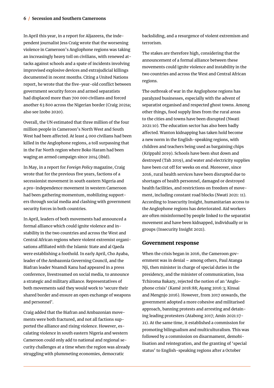In April this year, in a report for Aljazeera, the independent journalist Jess Craig wrote that the worsening violence in Cameroon's Anglophone regions was taking an increasingly heavy toll on civilians, with renewed attacks against schools and a spate of incidents involving improvised explosive devices and extrajudicial killings documented in recent months. Citing a United Nations report, he wrote that the five-year-old conflict between government security forces and armed separatists had displaced more than 700 000 civilians and forced another 63 800 across the Nigerian border (Craig 2021a; also see Izobo 2020).

Overall, the UN estimated that three million of the four million people in Cameroon's North West and South West had been affected. At least 4 000 civilians had been killed in the Anglophone regions, a toll surpassing that in the Far North region where Boko Haram had been waging an armed campaign since 2014 (ibid).

In May, in a report for *Foreign Policy* magazine, Craig wrote that for the previous five years, factions of a secessionist movement in south eastern Nigeria and a pro-independence movement in western Cameroon had been gathering momentum, mobilizing supporters through social media and clashing with government security forces in both countries.

In April, leaders of both movements had announced a formal alliance which could ignite violence and instability in the two countries and across the West and Central African regions where violent extremist organisations affiliated with the Islamic State and al Qaeda were establishing a foothold. In early April, Cho Ayaba, leader of the Ambazonia Governing Council, and the Biafran leader Nnamdi Kanu had appeared in a press conference, livestreamed on social media, to announce a strategic and military alliance. Representatives of both movements said they would work to 'secure their shared border and ensure an open exchange of weapons and personnel'.

Craig added that the Biafran and Ambazonian movements were both fractured, and not all factions supported the alliance and rising violence. However, escalating violence in south eastern Nigeria and western Cameroon could only add to national and regional security challenges at a time when the region was already struggling with plummeting economies, democratic

backsliding, and a resurgence of violent extremism and terrorism.

The stakes are therefore high, considering that the announcement of a formal alliance between these movements could ignite violence and instability in the two countries and across the West and Central African regions.

The outbreak of war in the Anglophone regions has paralyzed businesses, especially with the advent of separatist organised and respected ghost towns. Among other things, food supply lines from the rural areas to the cities and towns have been disrupted (Nwati 2021:10). The education sector has also been badly affected. Wanton kidnapping has taken hold become a new norm in the English-speaking regions, with children and teachers being used as bargaining chips (Krippahl 2019). Schools have been shut down and destroyed (Tah 2019), and water and electricity supplies have been cut off for weeks on end. Moreover, since 2016, rural health services have been disrupted due to shortages of health personnel, damaged or destroyed health facilities, and restrictions on freedom of movement, including constant road blocks (Nwati 2021: 11). According to Insecurity Insight, humanitarian access to the Anglophone regions has deteriorated. Aid workers are often misinformed by people linked to the separatist movement and have been kidnapped, individually or in groups (Insecurity Insight 2021).

#### Government response

When the crisis began in 2016, the Cameroon government was in denial – among others, Paul Atanga Nji, then minister in charge of special duties in the presidency, and the minister of communication, Issa Tchiroma Bakary, rejected the notion of an 'Anglophone crisis' (Kamé 2018:88; Ayang 2016:3; Kinsai and Mengnjo 2016). However, from 2017 onwards, the government adopted a more cohesive and militarised approach, banning protests and arresting and detaining leading protesters (Atabong 2017; Amin 2021:17- 21). At the same time, it established a commission for promoting bilingualism and multiculturalism. This was followed by a commission on disarmament, demobilisation and reintegration, and the granting of 'special status' to English-speaking regions after a October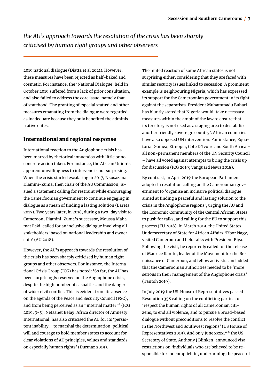*the AU's approach towards the resolution of the crisis has been sharply criticised by human right groups and other observers*

2019 national dialogue (Diatta et al 2021). However, these measures have been rejected as half-baked and cosmetic. For instance, the 'National Dialogue' held in October 2019 suffered from a lack of prior consultation, and also failed to address the core issue, namely that of statehood. The granting of 'special status' and other measures emanating from the dialogue were regarded as inadequate because they only benefited the administrative elites.

#### International and regional response

International reaction to the Anglophone crisis has been marred by rhetorical innuendos with little or no concrete action taken. For instance, the African Union's apparent unwillingness to intervene is not surprising. When the crisis started escalating in 2017, Nkosazana Dlamini-Zuma, then chair of the AU Commission, issued a statement calling for restraint while encouraging the Camerfoonian government to continue engaging in dialogue as a mean of finding a lasting solution (Bareta 2017). Two years later, in 2018, during a two-day visit to Cameroon, Dlamini-Zuma's successor, Moussa Mahamat Faki, called for an inclusive dialogue involving all stakeholders 'based on national leadership and ownership' (AU 2018).

However, the AU's approach towards the resolution of the crisis has been sharply criticised by human right groups and other observers. For instance, the International Crisis Group (ICG) has noted: 'So far, the AU has been surprisingly reserved on the Anglophone crisis, despite the high number of casualties and the danger of wider civil conflict. This is evident from its absence on the agenda of the Peace and Security Council (PSC), and from being perceived as an "internal matter"' (ICG 2019: 3-5). Netsanet Belay, Africa director of Amnesty International, has also criticised the AU for its 'persistent inability … to marshal the determination, political will and courage to hold member states to account for clear violations of AU principles, values and standards on especially human rights' (Durmaz 2019).

The muted reaction of some African states is not surprising either, considering that they are faced with similar security issues linked to secession. A prominent example is neighbouring Nigeria, which has expressed its support for the Cameroonian government in its fight against the separatists. President Muhammadu Buhari has bluntly stated that Nigeria would 'take necessary measures within the ambit of the law to ensure that its territory is not used as a staging area to destabilise another friendly sovereign country'. African countries have also opposed UN intervention. For instance, Equatorial Guinea, Ethiopia, Cote D'Ivoire and South Africa – all non-permanent members of the UN Security Council – have all voted against attempts to bring the crisis up for discussion (ICG 2019; Vanguard News 2018).

By contrast, in April 2019 the European Parliament adopted a resolution calling on the Cameroonian government to 'organise an inclusive political dialogue aimed at finding a peaceful and lasting solution to the crisis in the Anglophone regions', urging the AU and the Economic Community of the Central African States to push for talks, and calling for the EU to support this process (EU 2018). In March 2019, the United States Undersecretary of State for African Affairs, Tibor Nagy, visited Cameroon and held talks with President Biya. Following the visit, he reportedly called for the release of Maurice Kamto, leader of the Movement for the Renaissance of Cameroon, and fellow activists, and added that the Cameroonian authorities needed to be 'more serious in their management of the Anglophone crisis' (Tantoh 2019).

In July 2019 the US House of Representatives passed Resolution 358 calling on the conflicting parties to 'respect the human rights of all Cameroonian citizens, to end all violence, and to pursue a broad-based dialogue without preconditions to resolve the conflict in the Northwest and Southwest regions' (US House of Representatives 2019). And on 7 June xxxx,\*\* the US Secretary of State, Anthony J Blinken, announced visa restrictions on 'individuals who are believed to be responsible for, or complicit in, undermining the peaceful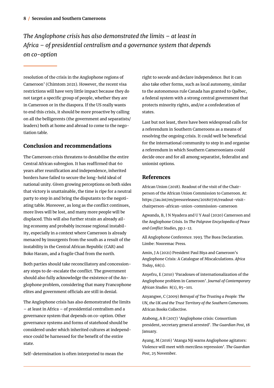*The Anglophone crisis has also demonstrated the limits – at least in Africa – of presidential centralism and a governance system that depends on co-option*

resolution of the crisis in the Anglophone regions of Cameroon' (Chimtom 2021). However, the recent visa restrictions will have very little impact because they do not target a specific group of people, whether they are in Cameroon or in the diaspora. If the US really wants to end this crisis, it should be more proactive by calling on all the belligerents (the government and separatists/ leaders) both at home and abroad to come to the negotiation table.

### Conclusion and recommendations

The Cameroon crisis threatens to destabilise the entire Central African subregion. It has reaffirmed that 60 years after reunification and independence, inherited borders have failed to secure the long-held ideal of national unity. Given growing perceptions on both sides that victory is unattainable, the time is ripe for a neutral party to step in and bring the disputants to the negotiating table. Moreover, as long as the conflict continues, more lives will be lost, and many more people will be displaced. This will also further strain an already ailing economy and probably increase regional instability, especially in a context where Cameroon is already menaced by insurgents from the south as a result of the instability in the Central African Republic (CAR) and Boko Haram, and a fragile Chad from the north.

Both parties should take reconciliatory and concessionary steps to de-escalate the conflict. The government should also fully acknowledge the existence of the Anglophone problem, considering that many Francophone elites and government officials are still in denial.

The Anglophone crisis has also demonstrated the limits – at least in Africa – of presidential centralism and a governance system that depends on co-option. Other governance systems and forms of statehood should be considered under which inherited cultures at independence could be harnessed for the benefit of the entire state.

Self-determination is often interpreted to mean the

right to secede and declare independence. But it can also take other forms, such as local autonomy, similar to the autonomous rule Canada has granted to Québec, a federal system with a strong central government that protects minority rights, and/or a confederation of states.

Last but not least, there have been widespread calls for a referendum in Southern Cameroons as a means of resolving the ongoing crisis. It could well be beneficial for the international community to step in and organise a referendum in which Southern Cameroonians could decide once and for all among separatist, federalist and unionist options.

#### References

African Union (2018). Readout of the visit of the Chairperson of the African Union Commission to Cameroon. At: https://au.int/en/pressreleases/20180716/readout-visitchairperson-african-union-commission-cameroon

Agwanda, B, I N Nyadera and U Y Asal (2020) Cameroon and the Anglophone Crisis. In *The Palgrave Encyclopedia of Peace and Conflict Studies*, pp.1-12.

All Anglophone Conference. 1993. The Buea Declaration. Limbe: Nooremac Press.

Amin, J A (2021) President Paul Biya and Cameroon's Anglophone Crisis: A Catalogue of Miscalculations. *Africa Today*, 68(1).

Anyefru, E (2010) 'Paradoxes of internationalization of the Anglophone problem in Cameroon'. *Journal of Contemporary African Studies* 8(1), 85–101.

Anyangwe, C (2009) *Betrayal of Too Trusting a People: The UN, the UK and the Trust Territory of the Southern Cameroons.*  African Books Collective.

Atabong, A B (2017) 'Anglophone crisis: Consortium president, secretary general arrested'. *The Guardian Post*, 18 January.

Ayang, M (2016) 'Atanga Nji warns Anglophone agitators: Violence will meet with merciless repression'. *The Guardian Post*, 25 November.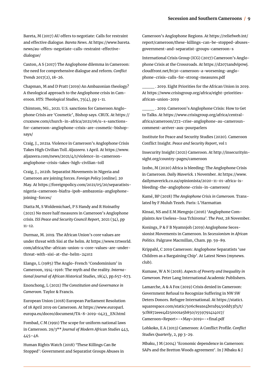Bareta, M (2017) AU offers to negotiate: Calls for restraint and effective dialogue. *Bareta News*. At https://www.bareta. news/au-offers-negotiate-calls-restraint-effectivedialogue/

Caxton, A S (2017) The Anglophone dilemma in Cameroon: the need for comprehensive dialogue and reform. *Conflict Trends* 2017(2), 18-26.

Chapman, M and D Pratt (2019) An Ambazonian theology? A theological approach to the Anglophone crisis in Cameroon. *HTS: Theological Studies*, 75(4), pp 1-11.

Chimtom, NG., 2021. U.S. sanctions for Cameroon Anglophone Crisis are 'Cosmetic', Bishop says. CRUX. At https:// cruxnow.com/church-in-africa/2021/06/u-s-sanctionsfor-cameroon-anglophone-crisis-are-cosmetic-bishopsays/

Craig, J., 2021a. Violence in Cameroon's Anglophone Crisis Takes High Civilian Toll. *Aljazeera*. 1 April. At https://www. aljazeera.com/news/2021/4/1/violence-in-cameroonanglophone-crisis-takes-high-civilian-toll

Craig, J., 2021b. Separatist Movements in Nigeria and Cameroon are joining forces. *Foreign Policy* [online]. 20 May. At https://foreignpolicy.com/2021/05/20/separatistsnigeria-cameroon-biafra-ipob-ambazonia-anglophonejoining-forces/

Diatta M, S Woldemichael, P S Handy and R Hoinathy (2021) No more half measures in Cameroon's Anglophone crisis. *ISS Peace and Security Council Report*, 2021 (34), pp 11-12.

Durmaz, M. 2019. The African Union's core values are under threat with Sisi at the helm. At https://www.trtworld. com/africa/the-african-union-s-core-values-are-underthreat-with-sisi-at-the-helm-24102

Elango, L (1985) The Anglo-French 'Condominium' in Cameroon, 1914-1916: The myth and the reality. *International Journal of African Historical Studies*, 18(4), pp.657-673.

Enonchong, L (2021) *The Constitution and Governance in Cameroon*. Taylor & Francis.

European Union (2018) European Parliament Resolution of 18 April 2019 on Cameroon. At https://www.europarl. europa.eu/doceo/document/TA-8-2019-0423\_EN.html

Fombad, C M (1991) The scope for uniform national laws in Cameroon. 29/3\*\* *Journal of Modern African Studies* 443, 445–46.

Human Rights Watch (2018) 'These Killings Can Be Stopped': Government and Separatist Groups Abuses in Cameroon's Anglophone Regions. At https://reliefweb.int/ report/cameroon/these-killings-can-be-stopped-abusesgovernment-and-separatist-groups-cameroon-s

International Crisis Group (ICG) (2017) Cameroon's Anglophone Crisis at the Crossroads. At https://d2071andvip0wj. cloudfront.net/b130-cameroon-a-worsening-anglophone-crisis-calls-for-strong-measures.pdf

\_\_\_\_ . 2019. Eight Priorities for the African Union in 2019. At https://www.crisisgroup.org/africa/eight-prioritiesafrican-union-2019

\_\_\_\_ . 2019. Cameroon's Anglophone Crisis: How to Get to Talks. At https://www.crisisgroup.org/africa/centralafrica/cameroon/272-crise-anglophone-au-camerouncomment-arriver-aux-pourparlers

Institute for Peace and Security Studies (2020). Cameroon Conflict Insight. *Peace and Security Report*, vol 1

Insecurity Insight (2021) Cameroon. At http://insecurityinsight.org/country-pages/cameroon

Izobo, M (2020) Africa is bleeding: The Anglophone Crisis in Cameroon. *Daily Maverick.* 1 November. At https://www. dailymaverick.co.za/opinionista/2020-11-01-africa-isbleeding-the-anglophone-crisis-in-cameroon/

Kamé, BP (2018) *The Anglophone Crisis in Cameroon*. Translated by F Muluh Tezeh. Paris: L'Harmattan

Kinsai, NS and E M Mengnjo (2016) 'Anglophone Complaints Are Useless–Issa Tchiroma'. *The Post*, 28 November.

Konings, P & F B Nyamnjoh (2019) Anglophone Secessionist Movements in Cameroon. In *Secessionism in African Politics.* Palgrave Macmillan, Cham. pp. 59-89.

Krippahl, C 2019 Cameroon: Anglophone Separatists 'use Children as a Bargaining Chip'. At Latest News (mynews. club).

Kumase, W A N (2018). *Aspects of Poverty and Inequality in Cameroon*. Peter Lang International Academic Publishers.

Lamarche, A & A Fox (2019) Crisis denied in Cameroon: Government Refusal to Recognize Suffering in NW SW Deters Donors. Refugee International. At https://static1. squarespace.com/static/506c8ea1e4b01d9450dd53f5/t/ 5cf8872eee4d250001a5b850/1559791414017/ Cameroon+Report+-+May+2019+-+final.pdf

Lohkoko, E A (2013) Cameroon: A Conflict Profile. *Conflict Studies Quarterly*, 2, pp 3-29.

Mbaku, J M (2004) 'Economic dependence in Cameroon: SAPs and the Bretton Woods agreement'. In J Mbaku & J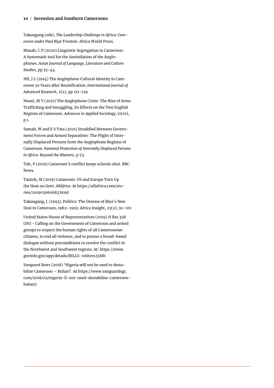#### **10 / Secession and Southern Cameroons**

Takougang (eds), *The Leadership Challenge in Africa: Cameroon under Paul Biya* Trenton: Africa World Press.

Musah, C P (2020) Linguistic Segregation in Cameroon: A Systematic tool for the Assimilation of the Anglophones. *Asian Journal of Language, Literature and Culture Studies*, pp 35-44.

Nfi, J L (2014) The Anglophone Cultural Identity in Cameroon 50 Years after Reunification. *International Journal of Advanced Research*, 2(2), pp 121-129.

Nwati, M T (2021) The Anglophone Crisis: The Rise of Arms Trafficking and Smuggling, its Effects on the Two English Regions of Cameroon. *Advances in Applied Sociology*, 11(01), p 1.

Samah, W and E S Tata (2021) Straddled Between Government Forces and Armed Separatists: The Plight of Internally Displaced Persons from the Anglophone Regions of Cameroon. *National Protection of Internally Displaced Persons in Africa: Beyond the Rhetoric*, p 73.

Tah, P (2019) Cameroon's conflict keeps schools shut. BBC News.

Tantoh, M (2019) Cameroon: US and Europe Turn Up the Heat on Govt. *AllAfrica*. At https://allafrica.com/stories/201903060683.html

Takougang, J. (1993). Politics: The Demise of Biya's New Deal in Cameroon, 1982–1992. Africa Insight, 23(2), 91–101

United States House of Representatives (2019) H Res 358 (IH) - Calling on the Government of Cameroon and armed groups to respect the human rights of all Cameroonian citizens, to end all violence, and to pursue a broad-based dialogue without preconditions to resolve the conflict in the Northwest and Southwest regions. At: https://www. govinfo.gov/app/details/BILLS-116hres358ih

*Vanguard News* (2018) 'Nigeria will not be used to destabilise Cameroon – Buhari'. At https://www.vanguardngr. com/2018/02/nigeria-ll-not-used-destabilise-cameroonbuhari/